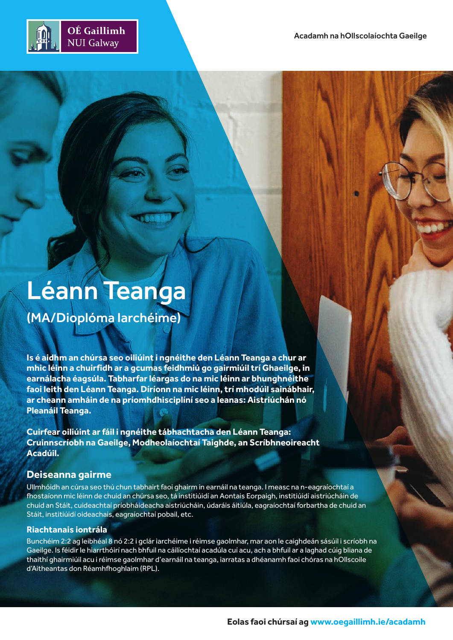

# Léann Teanga

(MA/Dioplóma Iarchéime)

**Is é aidhm an chúrsa seo oiliúint i ngnéithe den Léann Teanga a chur ar mhic léinn a chuirfidh ar a gcumas feidhmiú go gairmiúil trí Ghaeilge, in earnálacha éagsúla. Tabharfar léargas do na mic léinn ar bhunghnéithe faoi leith den Léann Teanga. Díríonn na mic léinn, trí mhodúil sainábhair, ar cheann amháin de na príomhdhisciplíní seo a leanas: Aistriúchán nó Pleanáil Teanga.**

**Cuirfear oiliúint ar fáil i ngnéithe tábhachtacha den Léann Teanga: Cruinnscríobh na Gaeilge, Modheolaíochtaí Taighde, an Scríbhneoireacht Acadúil.**

# **Deiseanna gairme**

Ullmhóidh an cúrsa seo thú chun tabhairt faoi ghairm in earnáil na teanga. I measc na n-eagraíochtaí a fhostaíonn mic léinn de chuid an chúrsa seo, tá institiúidí an Aontais Eorpaigh, institiúidí aistriúcháin de chuid an Stáit, cuideachtaí príobháideacha aistriúcháin, údaráis áitiúla, eagraíochtaí forbartha de chuid an Stáit, institiúidí oideachais, eagraíochtaí pobail, etc.

## **Riachtanais iontrála**

Bunchéim 2:2 ag leibhéal 8 nó 2:2 i gclár iarchéime i réimse gaolmhar, mar aon le caighdeán sásúil i scríobh na Gaeilge. Is féidir le hiarrthóirí nach bhfuil na cáilíochtaí acadúla cuí acu, ach a bhfuil ar a laghad cúig bliana de thaithí ghairmiúil acu i réimse gaolmhar d'earnáil na teanga, iarratas a dhéanamh faoi chóras na hOllscoile d'Aitheantas don Réamhfhoghlaim (RPL).